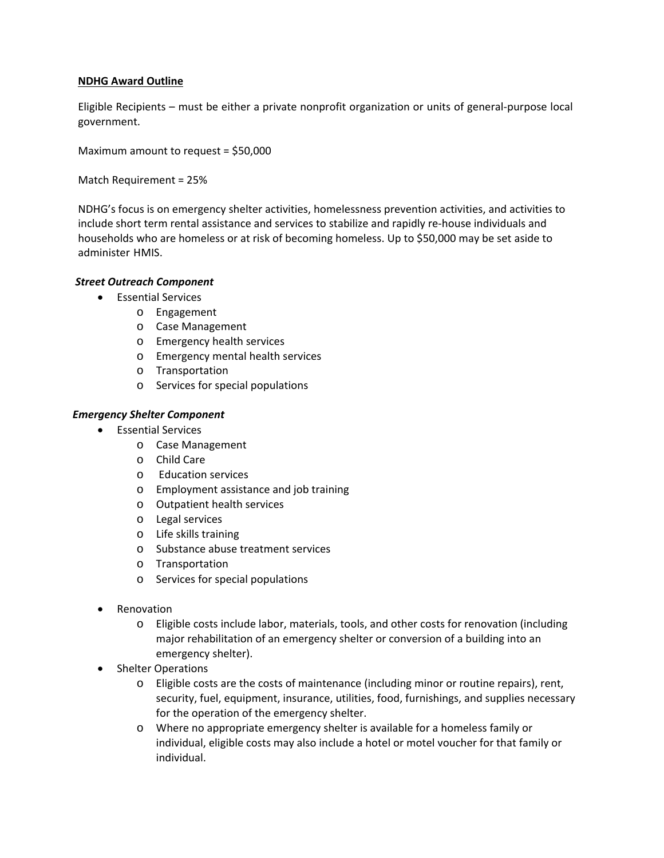## **NDHG Award Outline**

Eligible Recipients – must be either a private nonprofit organization or units of general-purpose local government.

Maximum amount to request = \$50,000

Match Requirement = 25%

NDHG's focus is on emergency shelter activities, homelessness prevention activities, and activities to include short term rental assistance and services to stabilize and rapidly re-house individuals and households who are homeless or at risk of becoming homeless. Up to \$50,000 may be set aside to administer HMIS.

# *Street Outreach Component*

- Essential Services
	- o Engagement
	- o Case Management
	- o Emergency health services
	- o Emergency mental health services
	- o Transportation
	- o Services for special populations

## *Emergency Shelter Component*

- Essential Services
	- o Case Management
	- o Child Care
	- o Education services
	- o Employment assistance and job training
	- o Outpatient health services
	- o Legal services
	- o Life skills training
	- o Substance abuse treatment services
	- o Transportation
	- o Services for special populations
- **Renovation** 
	- o Eligible costs include labor, materials, tools, and other costs for renovation (including major rehabilitation of an emergency shelter or conversion of a building into an emergency shelter).
- Shelter Operations
	- o Eligible costs are the costs of maintenance (including minor or routine repairs), rent, security, fuel, equipment, insurance, utilities, food, furnishings, and supplies necessary for the operation of the emergency shelter.
	- o Where no appropriate emergency shelter is available for a homeless family or individual, eligible costs may also include a hotel or motel voucher for that family or individual.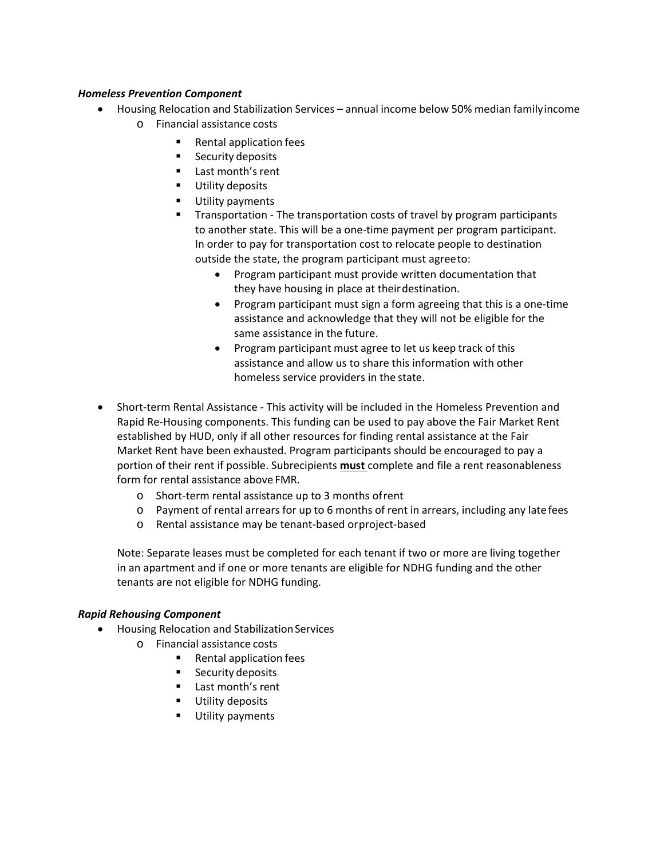#### *Homeless Prevention Component*

- Housing Relocation and Stabilization Services annual income below 50% median familyincome o Financial assistance costs
	- Rental application fees
	- **Security deposits**
	- **Last month's rent**
	- **Utility deposits**
	- Utility payments
	- Transportation The transportation costs of travel by program participants to another state. This will be a one-time payment per program participant. In order to pay for transportation cost to relocate people to destination outside the state, the program participant must agreeto:
		- Program participant must provide written documentation that they have housing in place at theirdestination.
		- Program participant must sign a form agreeing that this is a one-time assistance and acknowledge that they will not be eligible for the same assistance in the future.
		- Program participant must agree to let us keep track of this assistance and allow us to share this information with other homeless service providers in the state.
- Short-term Rental Assistance This activity will be included in the Homeless Prevention and Rapid Re-Housing components. This funding can be used to pay above the Fair Market Rent established by HUD, only if all other resources for finding rental assistance at the Fair Market Rent have been exhausted. Program participants should be encouraged to pay a portion of their rent if possible. Subrecipients **must** complete and file a rent reasonableness form for rental assistance above FMR.
	- o Short-term rental assistance up to 3 months ofrent
	- $\circ$  Payment of rental arrears for up to 6 months of rent in arrears, including any latefees
	- o Rental assistance may be tenant-based orproject-based

Note: Separate leases must be completed for each tenant if two or more are living together in an apartment and if one or more tenants are eligible for NDHG funding and the other tenants are not eligible for NDHG funding.

## *Rapid Rehousing Component*

- Housing Relocation and Stabilization Services
	- o Financial assistance costs
		- Rental application fees
		- **Security deposits**
		- **Last month's rent**
		- **Utility deposits**
		- **Utility payments**